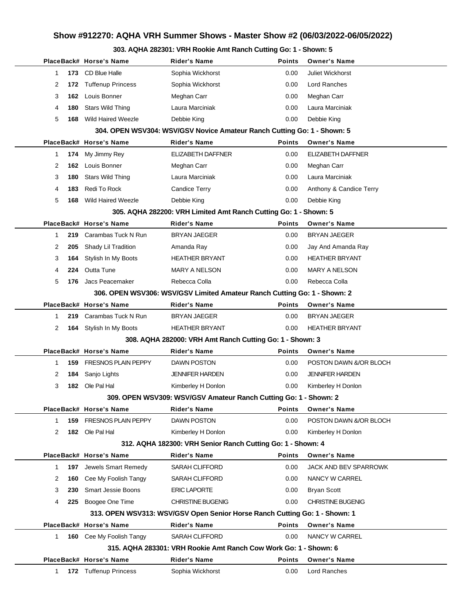# **Show #912270: AQHA VRH Summer Shows - Master Show #2 (06/03/2022-06/05/2022)**

### **303. AQHA 282301: VRH Rookie Amt Ranch Cutting Go: 1 - Shown: 5**

|                     | PlaceBack# Horse's Name        | Rider's Name                                                               | <b>Points</b> | <b>Owner's Name</b>     |
|---------------------|--------------------------------|----------------------------------------------------------------------------|---------------|-------------------------|
| 1                   | 173 CD Blue Halle              | Sophia Wickhorst                                                           | 0.00          | <b>Juliet Wickhorst</b> |
| 2                   | 172 Tuffenup Princess          | Sophia Wickhorst                                                           | 0.00          | Lord Ranches            |
| 3<br>162            | Louis Bonner                   | Meghan Carr                                                                | 0.00          | Meghan Carr             |
| 4<br>180            | <b>Stars Wild Thing</b>        | Laura Marciniak                                                            | 0.00          | Laura Marciniak         |
| 5                   | <b>168</b> Wild Haired Weezle  | Debbie King                                                                | 0.00          | Debbie King             |
|                     |                                | 304. OPEN WSV304: WSV/GSV Novice Amateur Ranch Cutting Go: 1 - Shown: 5    |               |                         |
|                     | PlaceBack# Horse's Name        | <b>Rider's Name</b>                                                        | <b>Points</b> | <b>Owner's Name</b>     |
| 1                   | 174 My Jimmy Rey               | ELIZABETH DAFFNER                                                          | 0.00          | ELIZABETH DAFFNER       |
| 2                   | 162 Louis Bonner               | Meghan Carr                                                                | 0.00          | Meghan Carr             |
| 3<br>180            | Stars Wild Thing               | Laura Marciniak                                                            | 0.00          | Laura Marciniak         |
| 183<br>4            | Redi To Rock                   | Candice Terry                                                              | 0.00          | Anthony & Candice Terry |
| 5                   | <b>168</b> Wild Haired Weezle  | Debbie King                                                                | 0.00          | Debbie King             |
|                     |                                | 305. AQHA 282200: VRH Limited Amt Ranch Cutting Go: 1 - Shown: 5           |               |                         |
|                     | PlaceBack# Horse's Name        | <b>Rider's Name</b>                                                        | <b>Points</b> | <b>Owner's Name</b>     |
| 219<br>1            | Carambas Tuck N Run            | BRYAN JAEGER                                                               | 0.00          | <b>BRYAN JAEGER</b>     |
| 2<br>205            | Shady Lil Tradition            | Amanda Ray                                                                 | 0.00          | Jay And Amanda Ray      |
| 3<br>164            | Stylish In My Boots            | <b>HEATHER BRYANT</b>                                                      | 0.00          | <b>HEATHER BRYANT</b>   |
| 4                   | 224 Outta Tune                 | <b>MARY A NELSON</b>                                                       | 0.00          | <b>MARY A NELSON</b>    |
| 5<br>176            | Jacs Peacemaker                | Rebecca Colla                                                              | 0.00          | Rebecca Colla           |
|                     |                                | 306. OPEN WSV306: WSV/GSV Limited Amateur Ranch Cutting Go: 1 - Shown: 2   |               |                         |
|                     | PlaceBack# Horse's Name        | <b>Rider's Name</b>                                                        | <b>Points</b> | <b>Owner's Name</b>     |
| 1<br>219            | Carambas Tuck N Run            | BRYAN JAEGER                                                               | 0.00          | <b>BRYAN JAEGER</b>     |
| 2                   | 164 Stylish In My Boots        | <b>HEATHER BRYANT</b>                                                      | 0.00          | <b>HEATHER BRYANT</b>   |
|                     |                                | 308. AQHA 282000: VRH Amt Ranch Cutting Go: 1 - Shown: 3                   |               |                         |
|                     | PlaceBack# Horse's Name        | <b>Rider's Name</b>                                                        | <b>Points</b> | <b>Owner's Name</b>     |
| 1                   | <b>159 FRESNOS PLAIN PEPPY</b> | <b>DAWN POSTON</b>                                                         | 0.00          | POSTON DAWN &/OR BLOCH  |
| 2<br>184            | Sanjo Lights                   | <b>JENNIFER HARDEN</b>                                                     | 0.00          | <b>JENNIFER HARDEN</b>  |
| 3                   | 182 Ole Pal Hal                | Kimberley H Donlon                                                         | 0.00          | Kimberley H Donlon      |
|                     |                                | 309. OPEN WSV309: WSV/GSV Amateur Ranch Cutting Go: 1 - Shown: 2           |               |                         |
|                     | PlaceBack# Horse's Name        | Rider's Name                                                               | <b>Points</b> | <b>Owner's Name</b>     |
| 1                   | 159 FRESNOS PLAIN PEPPY        | DAWN POSTON                                                                | 0.00          | POSTON DAWN &/OR BLOCH  |
| 2                   | 182 Ole Pal Hal                | Kimberley H Donlon                                                         | 0.00          | Kimberley H Donlon      |
|                     |                                | 312. AQHA 182300: VRH Senior Ranch Cutting Go: 1 - Shown: 4                |               |                         |
|                     | PlaceBack# Horse's Name        | Rider's Name                                                               | <b>Points</b> | <b>Owner's Name</b>     |
| $\mathbf{1}$<br>197 | Jewels Smart Remedy            | <b>SARAH CLIFFORD</b>                                                      | 0.00          | JACK AND BEV SPARROWK   |
| 2<br>160            | Cee My Foolish Tangy           | <b>SARAH CLIFFORD</b>                                                      | 0.00          | NANCY W CARREL          |
| 3<br>230            | <b>Smart Jessie Boons</b>      | <b>ERIC LAPORTE</b>                                                        | 0.00          | <b>Bryan Scott</b>      |
| 4<br>225            | Boogee One Time                | <b>CHRISTINE BUGENIG</b>                                                   | 0.00          | CHRISTINE BUGENIG       |
|                     |                                | 313. OPEN WSV313: WSV/GSV Open Senior Horse Ranch Cutting Go: 1 - Shown: 1 |               |                         |
|                     | PlaceBack# Horse's Name        | <b>Rider's Name</b>                                                        | <b>Points</b> | <b>Owner's Name</b>     |
| 1                   | 160 Cee My Foolish Tangy       | <b>SARAH CLIFFORD</b>                                                      | 0.00          | NANCY W CARREL          |
|                     |                                | 315. AQHA 283301: VRH Rookie Amt Ranch Cow Work Go: 1 - Shown: 6           |               |                         |
|                     | PlaceBack# Horse's Name        | <b>Rider's Name</b>                                                        | <b>Points</b> | <b>Owner's Name</b>     |
| 1                   | <b>172</b> Tuffenup Princess   | Sophia Wickhorst                                                           | 0.00          | Lord Ranches            |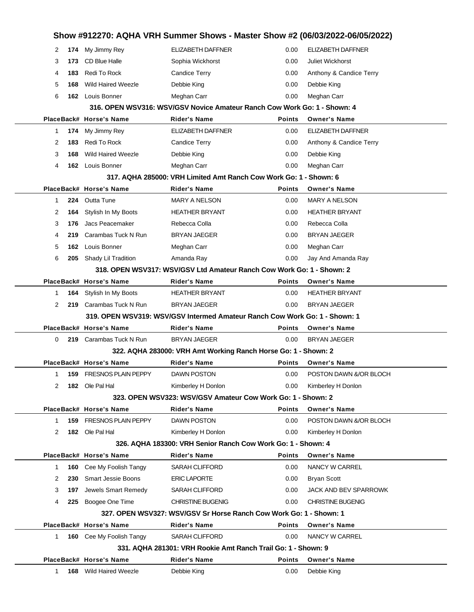|              |     |                                                 | Show #912270: AQHA VRH Summer Shows - Master Show #2 (06/03/2022-06/05/2022)                   |               |                                       |
|--------------|-----|-------------------------------------------------|------------------------------------------------------------------------------------------------|---------------|---------------------------------------|
| 2            |     | 174 My Jimmy Rey                                | <b>ELIZABETH DAFFNER</b>                                                                       | 0.00          | <b>ELIZABETH DAFFNER</b>              |
| 3            | 173 | <b>CD Blue Halle</b>                            | Sophia Wickhorst                                                                               | 0.00          | <b>Juliet Wickhorst</b>               |
| 4            | 183 | Redi To Rock                                    | Candice Terry                                                                                  | 0.00          | Anthony & Candice Terry               |
| 5            | 168 | <b>Wild Haired Weezle</b>                       | Debbie King                                                                                    | 0.00          | Debbie King                           |
| 6            | 162 | Louis Bonner                                    | Meghan Carr                                                                                    | 0.00          | Meghan Carr                           |
|              |     |                                                 | 316. OPEN WSV316: WSV/GSV Novice Amateur Ranch Cow Work Go: 1 - Shown: 4                       |               |                                       |
|              |     | PlaceBack# Horse's Name                         | <b>Rider's Name</b>                                                                            | <b>Points</b> | <b>Owner's Name</b>                   |
| 1            | 174 | My Jimmy Rey                                    | ELIZABETH DAFFNER                                                                              | 0.00          | ELIZABETH DAFFNER                     |
| 2            | 183 | Redi To Rock                                    | Candice Terry                                                                                  | 0.00          | Anthony & Candice Terry               |
| 3            | 168 | <b>Wild Haired Weezle</b>                       | Debbie King                                                                                    | 0.00          | Debbie King                           |
| 4            | 162 | Louis Bonner                                    | Meghan Carr                                                                                    | 0.00          | Meghan Carr                           |
|              |     |                                                 | 317, AQHA 285000: VRH Limited Amt Ranch Cow Work Go: 1 - Shown: 6                              |               |                                       |
|              |     | PlaceBack# Horse's Name                         | <b>Rider's Name</b>                                                                            | <b>Points</b> | <b>Owner's Name</b>                   |
| 1            | 224 | <b>Outta Tune</b>                               | <b>MARY A NELSON</b>                                                                           | 0.00          | <b>MARY A NELSON</b>                  |
| 2            | 164 | Stylish In My Boots                             | <b>HEATHER BRYANT</b>                                                                          | 0.00          | <b>HEATHER BRYANT</b>                 |
| 3            | 176 | Jacs Peacemaker                                 | Rebecca Colla                                                                                  | 0.00          | Rebecca Colla                         |
| 4            | 219 | Carambas Tuck N Run                             | <b>BRYAN JAEGER</b>                                                                            | 0.00          | <b>BRYAN JAEGER</b>                   |
| 5            | 162 | Louis Bonner                                    | Meghan Carr                                                                                    | 0.00          | Meghan Carr                           |
| 6            | 205 | Shady Lil Tradition                             | Amanda Ray                                                                                     | 0.00          | Jay And Amanda Ray                    |
|              |     |                                                 | 318, OPEN WSV317: WSV/GSV Ltd Amateur Ranch Cow Work Go: 1 - Shown: 2                          |               |                                       |
|              |     | PlaceBack# Horse's Name                         | <b>Rider's Name</b>                                                                            | <b>Points</b> | <b>Owner's Name</b>                   |
| 1            | 164 | Stylish In My Boots                             | <b>HEATHER BRYANT</b>                                                                          | 0.00          | <b>HEATHER BRYANT</b>                 |
| 2            | 219 | Carambas Tuck N Run                             | <b>BRYAN JAEGER</b>                                                                            | 0.00          | <b>BRYAN JAEGER</b>                   |
|              |     |                                                 | 319. OPEN WSV319: WSV/GSV Intermed Amateur Ranch Cow Work Go: 1 - Shown: 1                     |               |                                       |
|              |     | PlaceBack# Horse's Name                         | <b>Rider's Name</b>                                                                            | Points        | <b>Owner's Name</b>                   |
| $\Omega$     | 219 | Carambas Tuck N Run                             | <b>BRYAN JAEGER</b>                                                                            | 0.00          | <b>BRYAN JAEGER</b>                   |
|              |     |                                                 | 322. AQHA 283000: VRH Amt Working Ranch Horse Go: 1 - Shown: 2                                 |               |                                       |
|              |     | PlaceBack# Horse's Name                         | <b>Rider's Name</b>                                                                            | Points        | <b>Owner's Name</b>                   |
| 1.           |     | <b>159 FRESNOS PLAIN PEPPY</b>                  | <b>DAWN POSTON</b>                                                                             | 0.00          | POSTON DAWN &/OR BLOCH                |
| 2            |     | 182 Ole Pal Hal                                 | Kimberley H Donlon                                                                             | 0.00          | Kimberley H Donlon                    |
|              |     |                                                 | 323. OPEN WSV323: WSV/GSV Amateur Cow Work Go: 1 - Shown: 2                                    |               |                                       |
|              |     | PlaceBack# Horse's Name                         | <b>Rider's Name</b>                                                                            | <b>Points</b> | <b>Owner's Name</b>                   |
| 1            | 159 | <b>FRESNOS PLAIN PEPPY</b>                      | DAWN POSTON                                                                                    | 0.00          | POSTON DAWN &/OR BLOCH                |
| 2            |     | 182 Ole Pal Hal                                 | Kimberley H Donlon                                                                             | 0.00          | Kimberley H Donlon                    |
|              |     |                                                 | 326, AQHA 183300: VRH Senior Ranch Cow Work Go: 1 - Shown: 4<br><b>Rider's Name</b>            | <b>Points</b> |                                       |
| 1            | 160 | PlaceBack# Horse's Name<br>Cee My Foolish Tangy | SARAH CLIFFORD                                                                                 | 0.00          | <b>Owner's Name</b><br>NANCY W CARREL |
| 2            | 230 | <b>Smart Jessie Boons</b>                       | <b>ERIC LAPORTE</b>                                                                            | 0.00          | <b>Bryan Scott</b>                    |
| 3            | 197 | Jewels Smart Remedy                             | SARAH CLIFFORD                                                                                 | 0.00          | JACK AND BEV SPARROWK                 |
|              |     |                                                 |                                                                                                |               |                                       |
| 4            | 225 | Boogee One Time                                 | <b>CHRISTINE BUGENIG</b><br>327. OPEN WSV327: WSV/GSV Sr Horse Ranch Cow Work Go: 1 - Shown: 1 | 0.00          | <b>CHRISTINE BUGENIG</b>              |
|              |     | PlaceBack# Horse's Name                         | <b>Rider's Name</b>                                                                            | Points        | <b>Owner's Name</b>                   |
| $\mathbf{1}$ |     | <b>160</b> Cee My Foolish Tangy                 | <b>SARAH CLIFFORD</b>                                                                          | 0.00          | NANCY W CARREL                        |
|              |     |                                                 | 331. AQHA 281301: VRH Rookie Amt Ranch Trail Go: 1 - Shown: 9                                  |               |                                       |
|              |     | PlaceBack# Horse's Name                         | <b>Rider's Name</b>                                                                            | Points        | <b>Owner's Name</b>                   |
| 1            |     | <b>168</b> Wild Haired Weezle                   | Debbie King                                                                                    | 0.00          | Debbie King                           |
|              |     |                                                 |                                                                                                |               |                                       |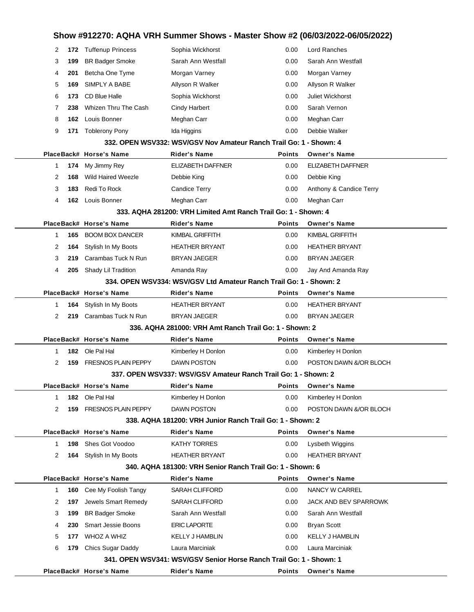|                                                                    |     | PlaceBack# Horse's Name        | <b>Rider's Name</b>                                                          | Points        | <b>Owner's Name</b>     |  |  |
|--------------------------------------------------------------------|-----|--------------------------------|------------------------------------------------------------------------------|---------------|-------------------------|--|--|
|                                                                    |     |                                | 341. OPEN WSV341: WSV/GSV Senior Horse Ranch Trail Go: 1 - Shown: 1          |               |                         |  |  |
| 6                                                                  |     | 179 Chics Sugar Daddy          | Laura Marciniak                                                              | 0.00          | Laura Marciniak         |  |  |
| 5                                                                  |     | 177 WHOZ A WHIZ                | <b>KELLY J HAMBLIN</b>                                                       | 0.00          | KELLY J HAMBLIN         |  |  |
| 4                                                                  | 230 | <b>Smart Jessie Boons</b>      | <b>ERIC LAPORTE</b>                                                          | 0.00          | <b>Bryan Scott</b>      |  |  |
| 3                                                                  | 199 | <b>BR Badger Smoke</b>         | Sarah Ann Westfall                                                           | 0.00          | Sarah Ann Westfall      |  |  |
| 2                                                                  | 197 | Jewels Smart Remedy            | SARAH CLIFFORD                                                               | 0.00          | JACK AND BEV SPARROWK   |  |  |
| $\mathbf{1}$                                                       | 160 | Cee My Foolish Tangy           | SARAH CLIFFORD                                                               | 0.00          | NANCY W CARREL          |  |  |
|                                                                    |     | PlaceBack# Horse's Name        | <b>Rider's Name</b>                                                          | <b>Points</b> | <b>Owner's Name</b>     |  |  |
|                                                                    |     |                                | 340. AQHA 181300: VRH Senior Ranch Trail Go: 1 - Shown: 6                    |               |                         |  |  |
| 2                                                                  |     | <b>164</b> Stylish In My Boots | <b>HEATHER BRYANT</b>                                                        | 0.00          | <b>HEATHER BRYANT</b>   |  |  |
| 1                                                                  | 198 | Shes Got Voodoo                | <b>KATHY TORRES</b>                                                          | 0.00          | Lysbeth Wiggins         |  |  |
|                                                                    |     | PlaceBack# Horse's Name        | <b>Rider's Name</b>                                                          | Points        | <b>Owner's Name</b>     |  |  |
|                                                                    |     |                                | 338. AQHA 181200: VRH Junior Ranch Trail Go: 1 - Shown: 2                    |               |                         |  |  |
| 2                                                                  |     | <b>159 FRESNOS PLAIN PEPPY</b> | <b>DAWN POSTON</b>                                                           | 0.00          | POSTON DAWN &/OR BLOCH  |  |  |
| 1                                                                  |     | 182 Ole Pal Hal                | Kimberley H Donlon                                                           | 0.00          | Kimberley H Donlon      |  |  |
|                                                                    |     | PlaceBack# Horse's Name        | Rider's Name                                                                 | <b>Points</b> | <b>Owner's Name</b>     |  |  |
|                                                                    |     |                                | 337. OPEN WSV337: WSV/GSV Amateur Ranch Trail Go: 1 - Shown: 2               |               |                         |  |  |
| 2                                                                  | 159 | <b>FRESNOS PLAIN PEPPY</b>     | <b>DAWN POSTON</b>                                                           | 0.00          | POSTON DAWN &/OR BLOCH  |  |  |
| 1                                                                  | 182 | Ole Pal Hal                    | Kimberley H Donlon                                                           | 0.00          | Kimberley H Donlon      |  |  |
|                                                                    |     | PlaceBack# Horse's Name        | <b>Rider's Name</b>                                                          | Points        | <b>Owner's Name</b>     |  |  |
|                                                                    |     |                                | 336, AQHA 281000: VRH Amt Ranch Trail Go: 1 - Shown: 2                       |               |                         |  |  |
| 2                                                                  | 219 | Carambas Tuck N Run            | <b>BRYAN JAEGER</b>                                                          | 0.00          | <b>BRYAN JAEGER</b>     |  |  |
| 1                                                                  | 164 | Stylish In My Boots            | <b>HEATHER BRYANT</b>                                                        | 0.00          | <b>HEATHER BRYANT</b>   |  |  |
|                                                                    |     | PlaceBack# Horse's Name        | <b>Rider's Name</b>                                                          | Points        | <b>Owner's Name</b>     |  |  |
| 334, OPEN WSV334: WSV/GSV Ltd Amateur Ranch Trail Go: 1 - Shown: 2 |     |                                |                                                                              |               |                         |  |  |
| 4                                                                  | 205 | Shady Lil Tradition            | Amanda Ray                                                                   | 0.00          | Jay And Amanda Ray      |  |  |
| 3                                                                  | 219 | Carambas Tuck N Run            | <b>BRYAN JAEGER</b>                                                          | 0.00          | <b>BRYAN JAEGER</b>     |  |  |
| 2                                                                  | 164 | Stylish In My Boots            | <b>HEATHER BRYANT</b>                                                        | 0.00          | <b>HEATHER BRYANT</b>   |  |  |
| 1                                                                  | 165 | <b>BOOM BOX DANCER</b>         | <b>KIMBAL GRIFFITH</b>                                                       | 0.00          | KIMBAL GRIFFITH         |  |  |
|                                                                    |     | PlaceBack# Horse's Name        | <b>Rider's Name</b>                                                          | <b>Points</b> | <b>Owner's Name</b>     |  |  |
|                                                                    |     |                                | 333. AQHA 281200: VRH Limited Amt Ranch Trail Go: 1 - Shown: 4               |               |                         |  |  |
| 4                                                                  | 162 | Louis Bonner                   | Meghan Carr                                                                  | 0.00          | Meghan Carr             |  |  |
| 3                                                                  | 183 | Redi To Rock                   | <b>Candice Terry</b>                                                         | 0.00          | Anthony & Candice Terry |  |  |
| 2                                                                  | 168 | <b>Wild Haired Weezle</b>      | Debbie King                                                                  | 0.00          | Debbie King             |  |  |
| 1                                                                  | 174 | My Jimmy Rey                   | <b>ELIZABETH DAFFNER</b>                                                     | 0.00          | ELIZABETH DAFFNER       |  |  |
|                                                                    |     | PlaceBack# Horse's Name        | <b>Rider's Name</b>                                                          | <b>Points</b> | <b>Owner's Name</b>     |  |  |
|                                                                    |     |                                | 332. OPEN WSV332: WSV/GSV Nov Amateur Ranch Trail Go: 1 - Shown: 4           |               |                         |  |  |
| 9                                                                  | 171 | <b>Toblerony Pony</b>          | Ida Higgins                                                                  | 0.00          | Debbie Walker           |  |  |
| 8                                                                  | 162 | Louis Bonner                   | Meghan Carr                                                                  | 0.00          | Meghan Carr             |  |  |
| 7                                                                  | 238 | Whizen Thru The Cash           | <b>Cindy Harbert</b>                                                         | 0.00          | Sarah Vernon            |  |  |
| 6                                                                  | 173 | CD Blue Halle                  | Sophia Wickhorst                                                             | 0.00          | <b>Juliet Wickhorst</b> |  |  |
| 5                                                                  | 169 | SIMPLY A BABE                  | Allyson R Walker                                                             | 0.00          | Allyson R Walker        |  |  |
| 4                                                                  | 201 | Betcha One Tyme                | Morgan Varney                                                                | 0.00          | Morgan Varney           |  |  |
| 3                                                                  | 199 | <b>BR Badger Smoke</b>         | Sarah Ann Westfall                                                           | 0.00          | Sarah Ann Westfall      |  |  |
| 2                                                                  |     | 172 Tuffenup Princess          | Sophia Wickhorst                                                             | 0.00          | Lord Ranches            |  |  |
|                                                                    |     |                                | Show #912270: AQHA VRH Summer Shows - Master Show #2 (06/03/2022-06/05/2022) |               |                         |  |  |
|                                                                    |     |                                |                                                                              |               |                         |  |  |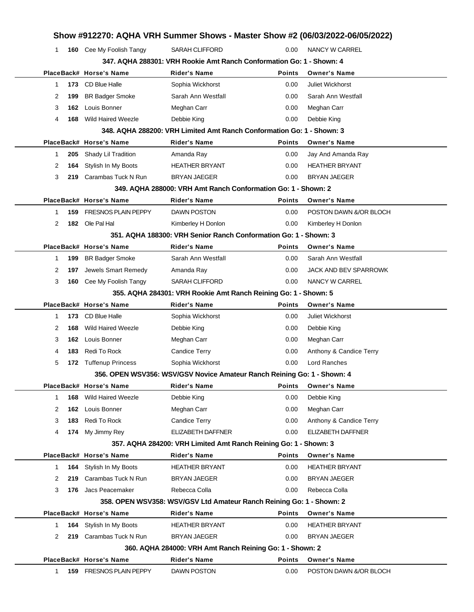|              |     |                           |                                                                         |               | Show #912270: AQHA VRH Summer Shows - Master Show #2 (06/03/2022-06/05/2022) |  |
|--------------|-----|---------------------------|-------------------------------------------------------------------------|---------------|------------------------------------------------------------------------------|--|
| 1            |     | 160 Cee My Foolish Tangy  | <b>SARAH CLIFFORD</b>                                                   | 0.00          | NANCY W CARREL                                                               |  |
|              |     |                           | 347, AQHA 288301: VRH Rookie Amt Ranch Conformation Go: 1 - Shown: 4    |               |                                                                              |  |
|              |     | PlaceBack# Horse's Name   | <b>Rider's Name</b>                                                     | <b>Points</b> | <b>Owner's Name</b>                                                          |  |
| 1            |     | 173 CD Blue Halle         | Sophia Wickhorst                                                        | 0.00          | <b>Juliet Wickhorst</b>                                                      |  |
| 2            | 199 | <b>BR Badger Smoke</b>    | Sarah Ann Westfall                                                      | 0.00          | Sarah Ann Westfall                                                           |  |
| 3            | 162 | Louis Bonner              | Meghan Carr                                                             | 0.00          | Meghan Carr                                                                  |  |
| 4            | 168 | <b>Wild Haired Weezle</b> | Debbie King                                                             | 0.00          | Debbie King                                                                  |  |
|              |     |                           | 348. AQHA 288200: VRH Limited Amt Ranch Conformation Go: 1 - Shown: 3   |               |                                                                              |  |
|              |     | PlaceBack# Horse's Name   | Rider's Name                                                            | <b>Points</b> | <b>Owner's Name</b>                                                          |  |
| $\mathbf{1}$ | 205 | Shady Lil Tradition       | Amanda Ray                                                              | 0.00          | Jay And Amanda Ray                                                           |  |
| 2            | 164 | Stylish In My Boots       | <b>HEATHER BRYANT</b>                                                   | 0.00          | <b>HEATHER BRYANT</b>                                                        |  |
| 3            |     | 219 Carambas Tuck N Run   | <b>BRYAN JAEGER</b>                                                     | 0.00          | <b>BRYAN JAEGER</b>                                                          |  |
|              |     |                           | 349. AQHA 288000: VRH Amt Ranch Conformation Go: 1 - Shown: 2           |               |                                                                              |  |
|              |     | PlaceBack# Horse's Name   | <b>Rider's Name</b>                                                     | <b>Points</b> | <b>Owner's Name</b>                                                          |  |
| 1            |     | 159 FRESNOS PLAIN PEPPY   | <b>DAWN POSTON</b>                                                      | 0.00          | POSTON DAWN &/OR BLOCH                                                       |  |
| 2            |     | 182 Ole Pal Hal           | Kimberley H Donlon                                                      | 0.00          | Kimberley H Donlon                                                           |  |
|              |     |                           | 351, AQHA 188300: VRH Senior Ranch Conformation Go: 1 - Shown: 3        |               |                                                                              |  |
|              |     | PlaceBack# Horse's Name   | <b>Rider's Name</b>                                                     | <b>Points</b> | <b>Owner's Name</b>                                                          |  |
| $\mathbf{1}$ | 199 | <b>BR Badger Smoke</b>    | Sarah Ann Westfall                                                      | 0.00          | Sarah Ann Westfall                                                           |  |
| 2            | 197 | Jewels Smart Remedy       | Amanda Ray                                                              | 0.00          | JACK AND BEV SPARROWK                                                        |  |
| 3            |     | 160 Cee My Foolish Tangy  | <b>SARAH CLIFFORD</b>                                                   | 0.00          | NANCY W CARREL                                                               |  |
|              |     |                           | 355. AQHA 284301: VRH Rookie Amt Ranch Reining Go: 1 - Shown: 5         |               |                                                                              |  |
|              |     | PlaceBack# Horse's Name   | <b>Rider's Name</b>                                                     | Points        | <b>Owner's Name</b>                                                          |  |
| 1            |     | 173 CD Blue Halle         | Sophia Wickhorst                                                        | 0.00          | <b>Juliet Wickhorst</b>                                                      |  |
| 2            | 168 | <b>Wild Haired Weezle</b> | Debbie King                                                             | 0.00          | Debbie King                                                                  |  |
| 3            | 162 | Louis Bonner              | Meghan Carr                                                             | 0.00          | Meghan Carr                                                                  |  |
| 4            | 183 | Redi To Rock              | <b>Candice Terry</b>                                                    | 0.00          | Anthony & Candice Terry                                                      |  |
| 5            | 172 | <b>Tuffenup Princess</b>  | Sophia Wickhorst                                                        | 0.00          | Lord Ranches                                                                 |  |
|              |     |                           | 356. OPEN WSV356: WSV/GSV Novice Amateur Ranch Reining Go: 1 - Shown: 4 |               |                                                                              |  |
|              |     | PlaceBack# Horse's Name   | Rider's Name                                                            | <b>Points</b> | <b>Owner's Name</b>                                                          |  |
| $\mathbf{1}$ | 168 | <b>Wild Haired Weezle</b> | Debbie King                                                             | 0.00          | Debbie King                                                                  |  |
| 2            | 162 | Louis Bonner              | Meghan Carr                                                             | 0.00          | Meghan Carr                                                                  |  |
| 3            | 183 | Redi To Rock              | Candice Terry                                                           | 0.00          | Anthony & Candice Terry                                                      |  |
| 4            |     | 174 My Jimmy Rey          | ELIZABETH DAFFNER                                                       | 0.00          | ELIZABETH DAFFNER                                                            |  |
|              |     |                           | 357. AQHA 284200: VRH Limited Amt Ranch Reining Go: 1 - Shown: 3        |               |                                                                              |  |
|              |     | PlaceBack# Horse's Name   | <b>Rider's Name</b>                                                     | <b>Points</b> | <b>Owner's Name</b>                                                          |  |
| $\mathbf{1}$ | 164 | Stylish In My Boots       | <b>HEATHER BRYANT</b>                                                   | 0.00          | <b>HEATHER BRYANT</b>                                                        |  |
| 2            | 219 | Carambas Tuck N Run       | <b>BRYAN JAEGER</b>                                                     | 0.00          | <b>BRYAN JAEGER</b>                                                          |  |
| 3            |     | 176 Jacs Peacemaker       | Rebecca Colla                                                           | 0.00          | Rebecca Colla                                                                |  |
|              |     |                           | 358. OPEN WSV358: WSV/GSV Ltd Amateur Ranch Reining Go: 1 - Shown: 2    |               |                                                                              |  |
|              |     | PlaceBack# Horse's Name   | <b>Rider's Name</b>                                                     | <b>Points</b> | <b>Owner's Name</b>                                                          |  |
| 1            | 164 | Stylish In My Boots       | HEATHER BRYANT                                                          | 0.00          | <b>HEATHER BRYANT</b>                                                        |  |
| 2            |     | 219 Carambas Tuck N Run   | BRYAN JAEGER                                                            | 0.00          | <b>BRYAN JAEGER</b>                                                          |  |
|              |     |                           | 360. AQHA 284000: VRH Amt Ranch Reining Go: 1 - Shown: 2                |               |                                                                              |  |
|              |     | PlaceBack# Horse's Name   | <b>Rider's Name</b>                                                     | <b>Points</b> | <b>Owner's Name</b>                                                          |  |
| 1            |     | 159 FRESNOS PLAIN PEPPY   | DAWN POSTON                                                             | 0.00          | POSTON DAWN &/OR BLOCH                                                       |  |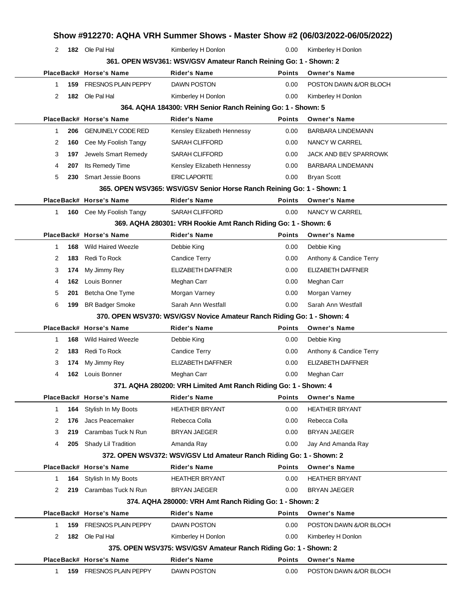|              |     |                            | Show #912270: AQHA VRH Summer Shows - Master Show #2 (06/03/2022-06/05/2022) |               |                          |
|--------------|-----|----------------------------|------------------------------------------------------------------------------|---------------|--------------------------|
| 2            |     | 182 Ole Pal Hal            | Kimberley H Donlon                                                           | 0.00          | Kimberley H Donlon       |
|              |     |                            | 361. OPEN WSV361: WSV/GSV Amateur Ranch Reining Go: 1 - Shown: 2             |               |                          |
|              |     | PlaceBack# Horse's Name    | <b>Rider's Name</b>                                                          | <b>Points</b> | <b>Owner's Name</b>      |
| 1            | 159 | <b>FRESNOS PLAIN PEPPY</b> | <b>DAWN POSTON</b>                                                           | 0.00          | POSTON DAWN &/OR BLOCH   |
| 2            |     | 182 Ole Pal Hal            | Kimberley H Donlon                                                           | 0.00          | Kimberley H Donlon       |
|              |     |                            | 364. AQHA 184300: VRH Senior Ranch Reining Go: 1 - Shown: 5                  |               |                          |
|              |     | PlaceBack# Horse's Name    | <b>Rider's Name</b>                                                          | <b>Points</b> | <b>Owner's Name</b>      |
| 1            | 206 | <b>GENUINELY CODE RED</b>  | Kensley Elizabeth Hennessy                                                   | 0.00          | <b>BARBARA LINDEMANN</b> |
| 2            | 160 | Cee My Foolish Tangy       | <b>SARAH CLIFFORD</b>                                                        | 0.00          | NANCY W CARREL           |
| 3            | 197 | Jewels Smart Remedy        | <b>SARAH CLIFFORD</b>                                                        | 0.00          | JACK AND BEV SPARROWK    |
| 4            | 207 | Its Remedy Time            | Kensley Elizabeth Hennessy                                                   | 0.00          | <b>BARBARA LINDEMANN</b> |
| 5            | 230 | <b>Smart Jessie Boons</b>  | <b>ERIC LAPORTE</b>                                                          | 0.00          | <b>Bryan Scott</b>       |
|              |     |                            | 365. OPEN WSV365: WSV/GSV Senior Horse Ranch Reining Go: 1 - Shown: 1        |               |                          |
|              |     | PlaceBack# Horse's Name    | <b>Rider's Name</b>                                                          | <b>Points</b> | <b>Owner's Name</b>      |
| 1.           |     | 160 Cee My Foolish Tangy   | <b>SARAH CLIFFORD</b>                                                        | 0.00          | <b>NANCY W CARREL</b>    |
|              |     |                            | 369. AQHA 280301: VRH Rookie Amt Ranch Riding Go: 1 - Shown: 6               |               |                          |
|              |     | PlaceBack# Horse's Name    | <b>Rider's Name</b>                                                          | <b>Points</b> | <b>Owner's Name</b>      |
| 1.           | 168 | <b>Wild Haired Weezle</b>  | Debbie King                                                                  | 0.00          | Debbie King              |
| 2            | 183 | Redi To Rock               | Candice Terry                                                                | 0.00          | Anthony & Candice Terry  |
| 3            | 174 | My Jimmy Rey               | ELIZABETH DAFFNER                                                            | 0.00          | <b>ELIZABETH DAFFNER</b> |
| 4            | 162 | Louis Bonner               | Meghan Carr                                                                  | 0.00          | Meghan Carr              |
| 5            | 201 | Betcha One Tyme            | Morgan Varney                                                                | 0.00          | Morgan Varney            |
| 6            | 199 | <b>BR Badger Smoke</b>     | Sarah Ann Westfall                                                           | 0.00          | Sarah Ann Westfall       |
|              |     |                            | 370. OPEN WSV370: WSV/GSV Novice Amateur Ranch Riding Go: 1 - Shown: 4       |               |                          |
|              |     | PlaceBack# Horse's Name    | <b>Rider's Name</b>                                                          | <b>Points</b> | <b>Owner's Name</b>      |
| 1.           | 168 | <b>Wild Haired Weezle</b>  | Debbie King                                                                  | 0.00          | Debbie King              |
| 2            | 183 | Redi To Rock               | Candice Terry                                                                | 0.00          | Anthony & Candice Terry  |
| 3            | 174 | My Jimmy Rey               | ELIZABETH DAFFNER                                                            | 0.00          | <b>ELIZABETH DAFFNER</b> |
| 4            |     | 162 Louis Bonner           | Meghan Carr                                                                  | 0.00          | Meghan Carr              |
|              |     |                            | 371. AQHA 280200: VRH Limited Amt Ranch Riding Go: 1 - Shown: 4              |               |                          |
|              |     | PlaceBack# Horse's Name    | Rider's Name                                                                 | <b>Points</b> | <b>Owner's Name</b>      |
| $\mathbf{1}$ | 164 | Stylish In My Boots        | <b>HEATHER BRYANT</b>                                                        | 0.00          | <b>HEATHER BRYANT</b>    |
| 2            | 176 | Jacs Peacemaker            | Rebecca Colla                                                                | 0.00          | Rebecca Colla            |
| 3            | 219 | Carambas Tuck N Run        | <b>BRYAN JAEGER</b>                                                          | 0.00          | <b>BRYAN JAEGER</b>      |
| 4            |     | 205 Shady Lil Tradition    | Amanda Ray                                                                   | 0.00          | Jay And Amanda Ray       |
|              |     |                            | 372. OPEN WSV372: WSV/GSV Ltd Amateur Ranch Riding Go: 1 - Shown: 2          |               |                          |
|              |     | PlaceBack# Horse's Name    | Rider's Name                                                                 | <b>Points</b> | <b>Owner's Name</b>      |
| 1.           | 164 | Stylish In My Boots        | <b>HEATHER BRYANT</b>                                                        | 0.00          | <b>HEATHER BRYANT</b>    |
| 2            |     | 219 Carambas Tuck N Run    | <b>BRYAN JAEGER</b>                                                          | 0.00          | BRYAN JAEGER             |
|              |     |                            | 374. AQHA 280000: VRH Amt Ranch Riding Go: 1 - Shown: 2                      |               |                          |
|              |     | PlaceBack# Horse's Name    | <b>Rider's Name</b>                                                          | <b>Points</b> | <b>Owner's Name</b>      |
| 1            | 159 | <b>FRESNOS PLAIN PEPPY</b> | DAWN POSTON                                                                  | 0.00          | POSTON DAWN &/OR BLOCH   |
| 2            |     | 182 Ole Pal Hal            | Kimberley H Donlon                                                           | 0.00          | Kimberley H Donlon       |
|              |     |                            | 375. OPEN WSV375: WSV/GSV Amateur Ranch Riding Go: 1 - Shown: 2              |               |                          |
|              |     | PlaceBack# Horse's Name    | Rider's Name                                                                 | <b>Points</b> | <b>Owner's Name</b>      |
| 1.           |     | 159 FRESNOS PLAIN PEPPY    | DAWN POSTON                                                                  | 0.00          | POSTON DAWN &/OR BLOCH   |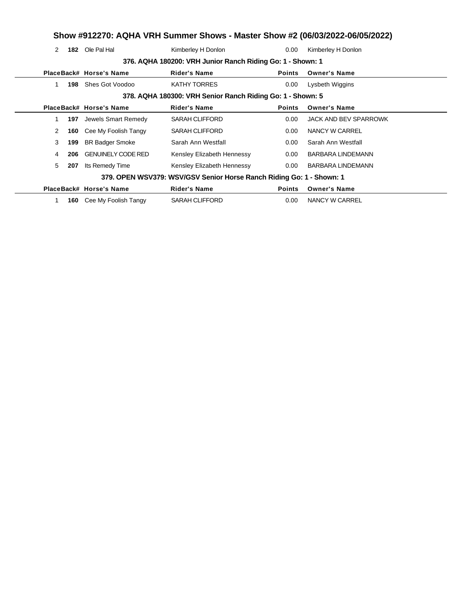# **Show #912270: AQHA VRH Summer Shows - Master Show #2 (06/03/2022-06/05/2022)**

2 **182** Ole Pal Hal Kimberley H Donlon **182** O.00 Kimberley H Donlon

|    |     |                           | 376. AQHA 180200: VRH Junior Ranch Riding Go: 1 - Shown: 1           |               |                          |
|----|-----|---------------------------|----------------------------------------------------------------------|---------------|--------------------------|
|    |     | PlaceBack# Horse's Name   | <b>Rider's Name</b>                                                  | <b>Points</b> | <b>Owner's Name</b>      |
| 1  | 198 | Shes Got Voodoo           | <b>KATHY TORRES</b>                                                  | 0.00          | Lysbeth Wiggins          |
|    |     |                           | 378. AQHA 180300: VRH Senior Ranch Riding Go: 1 - Shown: 5           |               |                          |
|    |     | PlaceBack# Horse's Name   | <b>Rider's Name</b>                                                  | <b>Points</b> | <b>Owner's Name</b>      |
| 1. | 197 | Jewels Smart Remedy       | <b>SARAH CLIFFORD</b>                                                | 0.00          | JACK AND BEV SPARROWK    |
| 2  | 160 | Cee My Foolish Tangy      | SARAH CLIFFORD                                                       | 0.00          | NANCY W CARREL           |
| 3  | 199 | <b>BR Badger Smoke</b>    | Sarah Ann Westfall                                                   | 0.00          | Sarah Ann Westfall       |
| 4  | 206 | <b>GENUINELY CODE RED</b> | Kensley Elizabeth Hennessy                                           | $0.00\,$      | <b>BARBARA LINDEMANN</b> |
| 5  | 207 | Its Remedy Time           | Kensley Elizabeth Hennessy                                           | 0.00          | BARBARA LINDEMANN        |
|    |     |                           | 379. OPEN WSV379: WSV/GSV Senior Horse Ranch Riding Go: 1 - Shown: 1 |               |                          |
|    |     | PlaceBack# Horse's Name   | <b>Rider's Name</b>                                                  | <b>Points</b> | <b>Owner's Name</b>      |
|    | 160 | Cee My Foolish Tangy      | SARAH CLIFFORD                                                       | 0.00          | NANCY W CARREL           |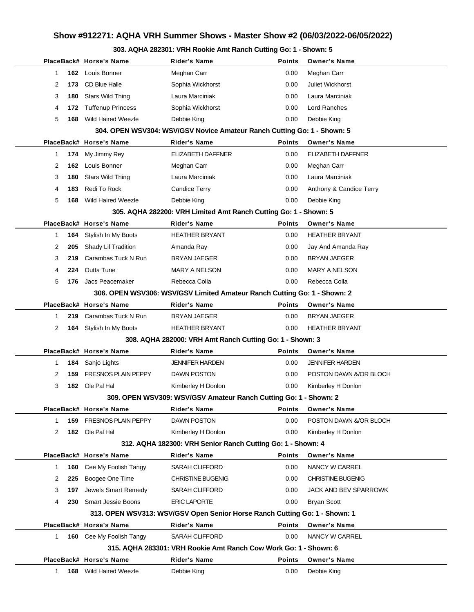# **Show #912271: AQHA VRH Summer Shows - Master Show #2 (06/03/2022-06/05/2022)**

### **303. AQHA 282301: VRH Rookie Amt Ranch Cutting Go: 1 - Shown: 5**

|          | PlaceBack# Horse's Name       | <b>Rider's Name</b>                                                        | <b>Points</b> | <b>Owner's Name</b>      |
|----------|-------------------------------|----------------------------------------------------------------------------|---------------|--------------------------|
| 1        | 162 Louis Bonner              | Meghan Carr                                                                | 0.00          | Meghan Carr              |
| 2<br>173 | CD Blue Halle                 | Sophia Wickhorst                                                           | 0.00          | Juliet Wickhorst         |
| 3<br>180 | <b>Stars Wild Thing</b>       | Laura Marciniak                                                            | 0.00          | Laura Marciniak          |
| 4<br>172 | <b>Tuffenup Princess</b>      | Sophia Wickhorst                                                           | 0.00          | Lord Ranches             |
| 5<br>168 | <b>Wild Haired Weezle</b>     | Debbie King                                                                | 0.00          | Debbie King              |
|          |                               | 304. OPEN WSV304: WSV/GSV Novice Amateur Ranch Cutting Go: 1 - Shown: 5    |               |                          |
|          | PlaceBack# Horse's Name       | <b>Rider's Name</b>                                                        | <b>Points</b> | <b>Owner's Name</b>      |
| 1<br>174 | My Jimmy Rey                  | ELIZABETH DAFFNER                                                          | 0.00          | <b>ELIZABETH DAFFNER</b> |
| 2<br>162 | Louis Bonner                  | Meghan Carr                                                                | 0.00          | Meghan Carr              |
| 3<br>180 | Stars Wild Thing              | Laura Marciniak                                                            | 0.00          | Laura Marciniak          |
| 183<br>4 | Redi To Rock                  | Candice Terry                                                              | 0.00          | Anthony & Candice Terry  |
| 5<br>168 | Wild Haired Weezle            | Debbie King                                                                | 0.00          | Debbie King              |
|          |                               | 305. AQHA 282200: VRH Limited Amt Ranch Cutting Go: 1 - Shown: 5           |               |                          |
|          | PlaceBack# Horse's Name       | <b>Rider's Name</b>                                                        | <b>Points</b> | <b>Owner's Name</b>      |
| 164<br>1 | Stylish In My Boots           | <b>HEATHER BRYANT</b>                                                      | 0.00          | <b>HEATHER BRYANT</b>    |
| 2<br>205 | Shady Lil Tradition           | Amanda Ray                                                                 | 0.00          | Jay And Amanda Ray       |
| 3<br>219 | Carambas Tuck N Run           | <b>BRYAN JAEGER</b>                                                        | 0.00          | <b>BRYAN JAEGER</b>      |
| 224<br>4 | Outta Tune                    | <b>MARY A NELSON</b>                                                       | 0.00          | <b>MARY A NELSON</b>     |
| 5<br>176 | Jacs Peacemaker               | Rebecca Colla                                                              | 0.00          | Rebecca Colla            |
|          |                               | 306. OPEN WSV306: WSV/GSV Limited Amateur Ranch Cutting Go: 1 - Shown: 2   |               |                          |
|          | PlaceBack# Horse's Name       | <b>Rider's Name</b>                                                        | <b>Points</b> | <b>Owner's Name</b>      |
| 1<br>219 | Carambas Tuck N Run           | <b>BRYAN JAEGER</b>                                                        | 0.00          | <b>BRYAN JAEGER</b>      |
| 2        | 164 Stylish In My Boots       | <b>HEATHER BRYANT</b>                                                      | 0.00          | <b>HEATHER BRYANT</b>    |
|          |                               | 308. AQHA 282000: VRH Amt Ranch Cutting Go: 1 - Shown: 3                   |               |                          |
|          | PlaceBack# Horse's Name       | <b>Rider's Name</b>                                                        | <b>Points</b> | <b>Owner's Name</b>      |
| 1<br>184 | Sanjo Lights                  | <b>JENNIFER HARDEN</b>                                                     | 0.00          | <b>JENNIFER HARDEN</b>   |
| 2<br>159 | <b>FRESNOS PLAIN PEPPY</b>    | <b>DAWN POSTON</b>                                                         | 0.00          | POSTON DAWN &/OR BLOCH   |
| 3<br>182 | Ole Pal Hal                   | Kimberley H Donlon                                                         | 0.00          | Kimberley H Donlon       |
|          |                               | 309. OPEN WSV309: WSV/GSV Amateur Ranch Cutting Go: 1 - Shown: 2           |               |                          |
|          | PlaceBack# Horse's Name       | <b>Rider's Name</b>                                                        | Points        | <b>Owner's Name</b>      |
| 1<br>159 | <b>FRESNOS PLAIN PEPPY</b>    | <b>DAWN POSTON</b>                                                         | 0.00          | POSTON DAWN &/OR BLOCH   |
| 2        | 182 Ole Pal Hal               | Kimberley H Donlon                                                         | 0.00          | Kimberley H Donlon       |
|          |                               | 312. AQHA 182300: VRH Senior Ranch Cutting Go: 1 - Shown: 4                |               |                          |
|          | PlaceBack# Horse's Name       | <b>Rider's Name</b>                                                        | <b>Points</b> | <b>Owner's Name</b>      |
| 1<br>160 | Cee My Foolish Tangy          | <b>SARAH CLIFFORD</b>                                                      | 0.00          | NANCY W CARREL           |
| 2<br>225 | Boogee One Time               | <b>CHRISTINE BUGENIG</b>                                                   | 0.00          | <b>CHRISTINE BUGENIG</b> |
| 3<br>197 | Jewels Smart Remedy           | <b>SARAH CLIFFORD</b>                                                      | 0.00          | JACK AND BEV SPARROWK    |
| 4<br>230 | <b>Smart Jessie Boons</b>     | <b>ERIC LAPORTE</b>                                                        | 0.00          | <b>Bryan Scott</b>       |
|          |                               | 313. OPEN WSV313: WSV/GSV Open Senior Horse Ranch Cutting Go: 1 - Shown: 1 |               |                          |
|          | PlaceBack# Horse's Name       | <b>Rider's Name</b>                                                        | <b>Points</b> | <b>Owner's Name</b>      |
| 1.       | 160 Cee My Foolish Tangy      | <b>SARAH CLIFFORD</b>                                                      | 0.00          | NANCY W CARREL           |
|          |                               | 315, AQHA 283301: VRH Rookie Amt Ranch Cow Work Go: 1 - Shown: 6           |               |                          |
|          | PlaceBack# Horse's Name       | Rider's Name                                                               | <b>Points</b> | <b>Owner's Name</b>      |
| 1        | <b>168</b> Wild Haired Weezle | Debbie King                                                                | 0.00          | Debbie King              |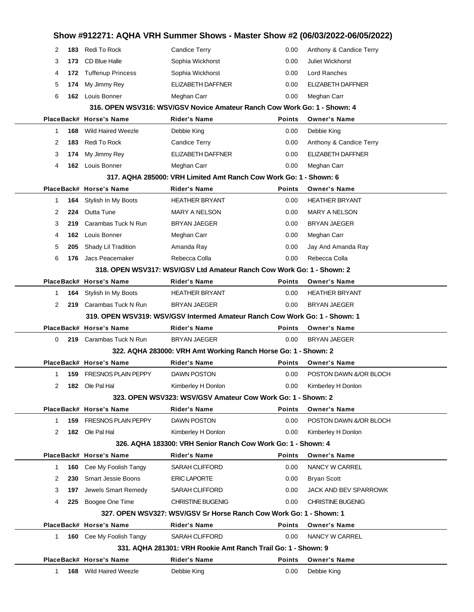|              |                                                               |                                 | Show #912271: AQHA VRH Summer Shows - Master Show #2 (06/03/2022-06/05/2022) |                |                                            |  |  |
|--------------|---------------------------------------------------------------|---------------------------------|------------------------------------------------------------------------------|----------------|--------------------------------------------|--|--|
| 2            | 183                                                           | Redi To Rock                    | <b>Candice Terry</b>                                                         | 0.00           | Anthony & Candice Terry                    |  |  |
| 3            | 173                                                           | <b>CD Blue Halle</b>            | Sophia Wickhorst                                                             | 0.00           | <b>Juliet Wickhorst</b>                    |  |  |
| 4            | 172                                                           | <b>Tuffenup Princess</b>        | Sophia Wickhorst                                                             | 0.00           | Lord Ranches                               |  |  |
| 5            | 174                                                           | My Jimmy Rey                    | <b>ELIZABETH DAFFNER</b>                                                     | 0.00           | ELIZABETH DAFFNER                          |  |  |
| 6            | 162                                                           | Louis Bonner                    | Meghan Carr                                                                  | 0.00           | Meghan Carr                                |  |  |
|              |                                                               |                                 | 316. OPEN WSV316: WSV/GSV Novice Amateur Ranch Cow Work Go: 1 - Shown: 4     |                |                                            |  |  |
|              |                                                               | PlaceBack# Horse's Name         | <b>Rider's Name</b>                                                          | <b>Points</b>  | <b>Owner's Name</b>                        |  |  |
| 1            | 168                                                           | <b>Wild Haired Weezle</b>       | Debbie King                                                                  | 0.00           | Debbie King                                |  |  |
| 2            | 183                                                           | Redi To Rock                    | <b>Candice Terry</b>                                                         | 0.00           | Anthony & Candice Terry                    |  |  |
| 3            | 174                                                           | My Jimmy Rey                    | ELIZABETH DAFFNER                                                            | 0.00           | <b>ELIZABETH DAFFNER</b>                   |  |  |
| 4            | 162                                                           | Louis Bonner                    | Meghan Carr                                                                  | 0.00           | Meghan Carr                                |  |  |
|              |                                                               |                                 | 317, AQHA 285000: VRH Limited Amt Ranch Cow Work Go: 1 - Shown: 6            |                |                                            |  |  |
|              |                                                               | PlaceBack# Horse's Name         | <b>Rider's Name</b>                                                          | Points         | <b>Owner's Name</b>                        |  |  |
| 1            | 164                                                           | Stylish In My Boots             | <b>HEATHER BRYANT</b>                                                        | 0.00           | <b>HEATHER BRYANT</b>                      |  |  |
| 2            | 224                                                           | <b>Outta Tune</b>               | <b>MARY A NELSON</b>                                                         | 0.00           | <b>MARY A NELSON</b>                       |  |  |
| 3            | 219                                                           | Carambas Tuck N Run             | <b>BRYAN JAEGER</b>                                                          | 0.00           | <b>BRYAN JAEGER</b>                        |  |  |
| 4            | 162                                                           | Louis Bonner                    | Meghan Carr                                                                  | 0.00           | Meghan Carr                                |  |  |
| 5            | 205                                                           | Shady Lil Tradition             | Amanda Ray                                                                   | 0.00           | Jay And Amanda Ray                         |  |  |
| 6            | 176                                                           | Jacs Peacemaker                 | Rebecca Colla                                                                | 0.00           | Rebecca Colla                              |  |  |
|              |                                                               |                                 | 318. OPEN WSV317: WSV/GSV Ltd Amateur Ranch Cow Work Go: 1 - Shown: 2        |                |                                            |  |  |
|              |                                                               | PlaceBack# Horse's Name         | <b>Rider's Name</b>                                                          | <b>Points</b>  | <b>Owner's Name</b>                        |  |  |
| 1            | 164                                                           | Stylish In My Boots             | <b>HEATHER BRYANT</b>                                                        | 0.00           | <b>HEATHER BRYANT</b>                      |  |  |
| 2            | 219                                                           | Carambas Tuck N Run             | <b>BRYAN JAEGER</b>                                                          | 0.00           | <b>BRYAN JAEGER</b>                        |  |  |
|              |                                                               | PlaceBack# Horse's Name         | 319. OPEN WSV319: WSV/GSV Intermed Amateur Ranch Cow Work Go: 1 - Shown: 1   |                |                                            |  |  |
| 0            |                                                               | Carambas Tuck N Run             | <b>Rider's Name</b><br><b>BRYAN JAEGER</b>                                   | Points<br>0.00 | <b>Owner's Name</b><br><b>BRYAN JAEGER</b> |  |  |
|              | 219                                                           |                                 | 322. AQHA 283000: VRH Amt Working Ranch Horse Go: 1 - Shown: 2               |                |                                            |  |  |
|              |                                                               | PlaceBack# Horse's Name         | <b>Rider's Name</b>                                                          | <b>Points</b>  | <b>Owner's Name</b>                        |  |  |
| 1            |                                                               | <b>159 FRESNOS PLAIN PEPPY</b>  | DAWN POSTON                                                                  | 0.00           | POSTON DAWN &/OR BLOCH                     |  |  |
| 2            |                                                               | 182 Ole Pal Hal                 | Kimberley H Donlon                                                           | 0.00           | Kimberley H Donlon                         |  |  |
|              |                                                               |                                 | 323. OPEN WSV323: WSV/GSV Amateur Cow Work Go: 1 - Shown: 2                  |                |                                            |  |  |
|              |                                                               | PlaceBack# Horse's Name         | <b>Rider's Name</b>                                                          | <b>Points</b>  | <b>Owner's Name</b>                        |  |  |
| 1            |                                                               | 159 FRESNOS PLAIN PEPPY         | <b>DAWN POSTON</b>                                                           | 0.00           | POSTON DAWN &/OR BLOCH                     |  |  |
| 2            |                                                               | 182 Ole Pal Hal                 | Kimberley H Donlon                                                           | 0.00           | Kimberley H Donlon                         |  |  |
|              |                                                               |                                 | 326. AQHA 183300: VRH Senior Ranch Cow Work Go: 1 - Shown: 4                 |                |                                            |  |  |
|              |                                                               | PlaceBack# Horse's Name         | <b>Rider's Name</b>                                                          | <b>Points</b>  | <b>Owner's Name</b>                        |  |  |
| 1            | 160                                                           | Cee My Foolish Tangy            | <b>SARAH CLIFFORD</b>                                                        | 0.00           | NANCY W CARREL                             |  |  |
| 2            | 230                                                           | <b>Smart Jessie Boons</b>       | <b>ERIC LAPORTE</b>                                                          | 0.00           | <b>Bryan Scott</b>                         |  |  |
| 3            | 197                                                           | Jewels Smart Remedy             | <b>SARAH CLIFFORD</b>                                                        | 0.00           | JACK AND BEV SPARROWK                      |  |  |
| 4            | 225                                                           | Boogee One Time                 | <b>CHRISTINE BUGENIG</b>                                                     | 0.00           | <b>CHRISTINE BUGENIG</b>                   |  |  |
|              |                                                               |                                 | 327. OPEN WSV327: WSV/GSV Sr Horse Ranch Cow Work Go: 1 - Shown: 1           |                |                                            |  |  |
|              |                                                               | PlaceBack# Horse's Name         | <b>Rider's Name</b>                                                          | <b>Points</b>  | <b>Owner's Name</b>                        |  |  |
| $\mathbf{1}$ |                                                               | <b>160</b> Cee My Foolish Tangy | <b>SARAH CLIFFORD</b>                                                        | 0.00           | NANCY W CARREL                             |  |  |
|              | 331, AQHA 281301: VRH Rookie Amt Ranch Trail Go: 1 - Shown: 9 |                                 |                                                                              |                |                                            |  |  |
|              |                                                               |                                 |                                                                              |                |                                            |  |  |
|              |                                                               | PlaceBack# Horse's Name         | Rider's Name                                                                 | <b>Points</b>  | <b>Owner's Name</b>                        |  |  |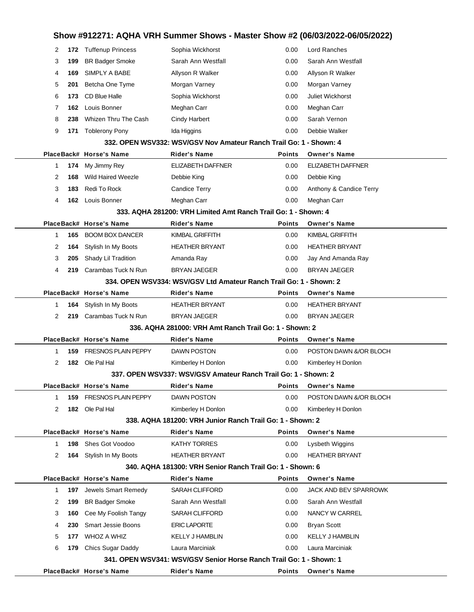|             |     |                                              |                                                                                  |               | Show #912271: AQHA VRH Summer Shows - Master Show #2 (06/03/2022-06/05/2022) |  |
|-------------|-----|----------------------------------------------|----------------------------------------------------------------------------------|---------------|------------------------------------------------------------------------------|--|
| 2           |     | 172 Tuffenup Princess                        | Sophia Wickhorst                                                                 | 0.00          | Lord Ranches                                                                 |  |
| 3           | 199 | <b>BR Badger Smoke</b>                       | Sarah Ann Westfall                                                               | 0.00          | Sarah Ann Westfall                                                           |  |
| 4           | 169 | SIMPLY A BABE                                | Allyson R Walker                                                                 | 0.00          | Allyson R Walker                                                             |  |
| 5           | 201 | Betcha One Tyme                              | Morgan Varney                                                                    | 0.00          | Morgan Varney                                                                |  |
| 6           | 173 | CD Blue Halle                                | Sophia Wickhorst                                                                 | 0.00          | Juliet Wickhorst                                                             |  |
| 7           | 162 | Louis Bonner                                 | Meghan Carr                                                                      | 0.00          | Meghan Carr                                                                  |  |
| 8           | 238 | Whizen Thru The Cash                         | <b>Cindy Harbert</b>                                                             | 0.00          | Sarah Vernon                                                                 |  |
| 9           | 171 | <b>Toblerony Pony</b>                        | Ida Higgins                                                                      | 0.00          | Debbie Walker                                                                |  |
|             |     |                                              | 332, OPEN WSV332: WSV/GSV Nov Amateur Ranch Trail Go: 1 - Shown: 4               |               |                                                                              |  |
|             |     | PlaceBack# Horse's Name                      | <b>Rider's Name</b>                                                              | <b>Points</b> | <b>Owner's Name</b>                                                          |  |
| 1           | 174 | My Jimmy Rey                                 | ELIZABETH DAFFNER                                                                | 0.00          | <b>ELIZABETH DAFFNER</b>                                                     |  |
| 2           | 168 | <b>Wild Haired Weezle</b>                    | Debbie King                                                                      | 0.00          | Debbie King                                                                  |  |
| 3           | 183 | Redi To Rock                                 | <b>Candice Terry</b>                                                             | 0.00          | Anthony & Candice Terry                                                      |  |
| 4           |     | 162 Louis Bonner                             | Meghan Carr                                                                      | 0.00          | Meghan Carr                                                                  |  |
|             |     |                                              | 333, AQHA 281200: VRH Limited Amt Ranch Trail Go: 1 - Shown: 4                   |               |                                                                              |  |
|             |     | PlaceBack# Horse's Name                      | <b>Rider's Name</b>                                                              | <b>Points</b> | <b>Owner's Name</b>                                                          |  |
| 1           | 165 | <b>BOOM BOX DANCER</b>                       | KIMBAL GRIFFITH                                                                  | 0.00          | <b>KIMBAL GRIFFITH</b>                                                       |  |
| 2           | 164 | Stylish In My Boots                          | <b>HEATHER BRYANT</b>                                                            | 0.00          | <b>HEATHER BRYANT</b>                                                        |  |
| 3           | 205 | Shady Lil Tradition                          | Amanda Ray                                                                       | 0.00          | Jay And Amanda Ray                                                           |  |
| 4           | 219 | Carambas Tuck N Run                          | <b>BRYAN JAEGER</b>                                                              | 0.00          | <b>BRYAN JAEGER</b>                                                          |  |
|             |     |                                              | 334, OPEN WSV334: WSV/GSV Ltd Amateur Ranch Trail Go: 1 - Shown: 2               |               |                                                                              |  |
|             |     | PlaceBack# Horse's Name                      | <b>Rider's Name</b>                                                              | Points        | <b>Owner's Name</b>                                                          |  |
| 1           | 164 | Stylish In My Boots                          | <b>HEATHER BRYANT</b>                                                            | 0.00          | <b>HEATHER BRYANT</b>                                                        |  |
| 2           | 219 | Carambas Tuck N Run                          | <b>BRYAN JAEGER</b>                                                              | 0.00          | <b>BRYAN JAEGER</b>                                                          |  |
|             |     |                                              | 336, AQHA 281000: VRH Amt Ranch Trail Go: 1 - Shown: 2                           |               |                                                                              |  |
|             |     | PlaceBack# Horse's Name                      | <b>Rider's Name</b>                                                              | <b>Points</b> | <b>Owner's Name</b>                                                          |  |
| 1           | 159 | <b>FRESNOS PLAIN PEPPY</b>                   | <b>DAWN POSTON</b>                                                               | 0.00          | POSTON DAWN &/OR BLOCH                                                       |  |
| 2           | 182 | Ole Pal Hal                                  | Kimberley H Donlon                                                               | 0.00          | Kimberley H Donlon                                                           |  |
|             |     |                                              | 337. OPEN WSV337: WSV/GSV Amateur Ranch Trail Go: 1 - Shown: 2                   |               |                                                                              |  |
|             |     | PlaceBack# Horse's Name                      | Rider's Name                                                                     | Points        | <b>Owner's Name</b>                                                          |  |
| 1           |     | 159 FRESNOS PLAIN PEPPY                      | DAWN POSTON                                                                      | 0.00          | POSTON DAWN &/OR BLOCH                                                       |  |
| 2           |     | 182 Ole Pal Hal                              | Kimberley H Donlon                                                               | 0.00          | Kimberley H Donlon                                                           |  |
|             |     |                                              | 338. AQHA 181200: VRH Junior Ranch Trail Go: 1 - Shown: 2                        |               |                                                                              |  |
|             |     | PlaceBack# Horse's Name                      | <b>Rider's Name</b>                                                              | <b>Points</b> | <b>Owner's Name</b>                                                          |  |
| 1           | 198 | Shes Got Voodoo                              | <b>KATHY TORRES</b>                                                              | 0.00          | Lysbeth Wiggins                                                              |  |
| 2           |     | <b>164</b> Stylish In My Boots               | <b>HEATHER BRYANT</b>                                                            | 0.00          | <b>HEATHER BRYANT</b>                                                        |  |
|             |     | PlaceBack# Horse's Name                      | 340. AQHA 181300: VRH Senior Ranch Trail Go: 1 - Shown: 6<br><b>Rider's Name</b> | <b>Points</b> | <b>Owner's Name</b>                                                          |  |
| $\mathbf 1$ | 197 | Jewels Smart Remedy                          | SARAH CLIFFORD                                                                   | 0.00          | JACK AND BEV SPARROWK                                                        |  |
| 2           | 199 | <b>BR Badger Smoke</b>                       | Sarah Ann Westfall                                                               | 0.00          | Sarah Ann Westfall                                                           |  |
|             |     |                                              |                                                                                  | 0.00          |                                                                              |  |
| 3           | 160 | Cee My Foolish Tangy                         | SARAH CLIFFORD                                                                   |               | NANCY W CARREL                                                               |  |
| 4           | 230 | <b>Smart Jessie Boons</b><br>177 WHOZ A WHIZ | <b>ERIC LAPORTE</b><br><b>KELLY J HAMBLIN</b>                                    | 0.00<br>0.00  | Bryan Scott<br><b>KELLY J HAMBLIN</b>                                        |  |
| 5           |     | 179 Chics Sugar Daddy                        | Laura Marciniak                                                                  | 0.00          | Laura Marciniak                                                              |  |
| 6           |     |                                              | 341. OPEN WSV341: WSV/GSV Senior Horse Ranch Trail Go: 1 - Shown: 1              |               |                                                                              |  |
|             |     | PlaceBack# Horse's Name                      | <b>Rider's Name</b>                                                              | Points        | <b>Owner's Name</b>                                                          |  |
|             |     |                                              |                                                                                  |               |                                                                              |  |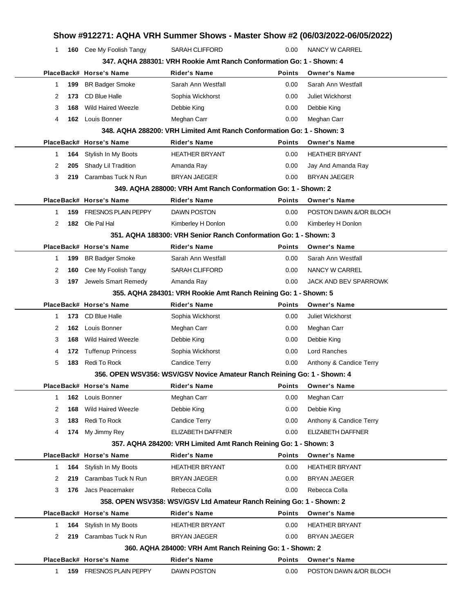|              |     |                            |                                                                         |               | Show #912271: AQHA VRH Summer Shows - Master Show #2 (06/03/2022-06/05/2022) |  |
|--------------|-----|----------------------------|-------------------------------------------------------------------------|---------------|------------------------------------------------------------------------------|--|
| 1            |     | 160 Cee My Foolish Tangy   | <b>SARAH CLIFFORD</b>                                                   | 0.00          | NANCY W CARREL                                                               |  |
|              |     |                            | 347, AQHA 288301: VRH Rookie Amt Ranch Conformation Go: 1 - Shown: 4    |               |                                                                              |  |
|              |     | PlaceBack# Horse's Name    | <b>Rider's Name</b>                                                     | <b>Points</b> | <b>Owner's Name</b>                                                          |  |
| 1            | 199 | <b>BR Badger Smoke</b>     | Sarah Ann Westfall                                                      | 0.00          | Sarah Ann Westfall                                                           |  |
| 2            | 173 | CD Blue Halle              | Sophia Wickhorst                                                        | 0.00          | Juliet Wickhorst                                                             |  |
| 3            | 168 | <b>Wild Haired Weezle</b>  | Debbie King                                                             | 0.00          | Debbie King                                                                  |  |
| 4            |     | 162 Louis Bonner           | Meghan Carr                                                             | 0.00          | Meghan Carr                                                                  |  |
|              |     |                            | 348. AQHA 288200: VRH Limited Amt Ranch Conformation Go: 1 - Shown: 3   |               |                                                                              |  |
|              |     | PlaceBack# Horse's Name    | <b>Rider's Name</b>                                                     | <b>Points</b> | <b>Owner's Name</b>                                                          |  |
| $\mathbf{1}$ | 164 | Stylish In My Boots        | <b>HEATHER BRYANT</b>                                                   | 0.00          | <b>HEATHER BRYANT</b>                                                        |  |
| 2            | 205 | Shady Lil Tradition        | Amanda Ray                                                              | 0.00          | Jay And Amanda Ray                                                           |  |
| 3            |     | 219 Carambas Tuck N Run    | <b>BRYAN JAEGER</b>                                                     | 0.00          | <b>BRYAN JAEGER</b>                                                          |  |
|              |     |                            | 349. AQHA 288000: VRH Amt Ranch Conformation Go: 1 - Shown: 2           |               |                                                                              |  |
|              |     | PlaceBack# Horse's Name    | <b>Rider's Name</b>                                                     | <b>Points</b> | <b>Owner's Name</b>                                                          |  |
| 1            | 159 | <b>FRESNOS PLAIN PEPPY</b> | <b>DAWN POSTON</b>                                                      | 0.00          | POSTON DAWN &/OR BLOCH                                                       |  |
| 2            |     | 182 Ole Pal Hal            | Kimberley H Donlon                                                      | 0.00          | Kimberley H Donlon                                                           |  |
|              |     |                            | 351, AQHA 188300: VRH Senior Ranch Conformation Go: 1 - Shown: 3        |               |                                                                              |  |
|              |     | PlaceBack# Horse's Name    | <b>Rider's Name</b>                                                     | <b>Points</b> | <b>Owner's Name</b>                                                          |  |
| $\mathbf{1}$ | 199 | <b>BR Badger Smoke</b>     | Sarah Ann Westfall                                                      | 0.00          | Sarah Ann Westfall                                                           |  |
| 2            | 160 | Cee My Foolish Tangy       | <b>SARAH CLIFFORD</b>                                                   | 0.00          | NANCY W CARREL                                                               |  |
| 3            | 197 | Jewels Smart Remedy        | Amanda Ray                                                              | 0.00          | JACK AND BEV SPARROWK                                                        |  |
|              |     |                            | 355. AQHA 284301: VRH Rookie Amt Ranch Reining Go: 1 - Shown: 5         |               |                                                                              |  |
|              |     | PlaceBack# Horse's Name    | <b>Rider's Name</b>                                                     | Points        | <b>Owner's Name</b>                                                          |  |
| 1            |     | 173 CD Blue Halle          | Sophia Wickhorst                                                        | 0.00          | <b>Juliet Wickhorst</b>                                                      |  |
| 2            | 162 | Louis Bonner               | Meghan Carr                                                             | 0.00          | Meghan Carr                                                                  |  |
| 3            | 168 | <b>Wild Haired Weezle</b>  | Debbie King                                                             | 0.00          | Debbie King                                                                  |  |
| 4            | 172 | <b>Tuffenup Princess</b>   | Sophia Wickhorst                                                        | 0.00          | Lord Ranches                                                                 |  |
| 5            | 183 | Redi To Rock               | <b>Candice Terry</b>                                                    | 0.00          | Anthony & Candice Terry                                                      |  |
|              |     |                            | 356. OPEN WSV356: WSV/GSV Novice Amateur Ranch Reining Go: 1 - Shown: 4 |               |                                                                              |  |
|              |     | PlaceBack# Horse's Name    | <b>Rider's Name</b>                                                     | Points        | <b>Owner's Name</b>                                                          |  |
| $\mathbf{1}$ |     | 162 Louis Bonner           | Meghan Carr                                                             | 0.00          | Meghan Carr                                                                  |  |
| 2            | 168 | <b>Wild Haired Weezle</b>  | Debbie King                                                             | 0.00          | Debbie King                                                                  |  |
| 3            | 183 | Redi To Rock               | <b>Candice Terry</b>                                                    | 0.00          | Anthony & Candice Terry                                                      |  |
| 4            | 174 | My Jimmy Rey               | ELIZABETH DAFFNER                                                       | 0.00          | ELIZABETH DAFFNER                                                            |  |
|              |     |                            | 357. AQHA 284200: VRH Limited Amt Ranch Reining Go: 1 - Shown: 3        |               |                                                                              |  |
|              |     | PlaceBack# Horse's Name    | Rider's Name                                                            | <b>Points</b> | <b>Owner's Name</b>                                                          |  |
| $\mathbf{1}$ | 164 | Stylish In My Boots        | <b>HEATHER BRYANT</b>                                                   | 0.00          | <b>HEATHER BRYANT</b>                                                        |  |
| 2            | 219 | Carambas Tuck N Run        | <b>BRYAN JAEGER</b>                                                     | 0.00          | <b>BRYAN JAEGER</b>                                                          |  |
| 3            |     | 176 Jacs Peacemaker        | Rebecca Colla                                                           | 0.00          | Rebecca Colla                                                                |  |
|              |     |                            | 358. OPEN WSV358: WSV/GSV Ltd Amateur Ranch Reining Go: 1 - Shown: 2    |               |                                                                              |  |
|              |     | PlaceBack# Horse's Name    | <b>Rider's Name</b>                                                     | <b>Points</b> | <b>Owner's Name</b>                                                          |  |
| 1            | 164 | Stylish In My Boots        | <b>HEATHER BRYANT</b>                                                   | 0.00          | <b>HEATHER BRYANT</b>                                                        |  |
| 2            |     | 219 Carambas Tuck N Run    | BRYAN JAEGER                                                            | 0.00          | <b>BRYAN JAEGER</b>                                                          |  |
|              |     |                            | 360. AQHA 284000: VRH Amt Ranch Reining Go: 1 - Shown: 2                |               |                                                                              |  |
|              |     | PlaceBack# Horse's Name    | <b>Rider's Name</b>                                                     | <b>Points</b> | <b>Owner's Name</b>                                                          |  |
| 1            |     | 159 FRESNOS PLAIN PEPPY    | DAWN POSTON                                                             | 0.00          | POSTON DAWN &/OR BLOCH                                                       |  |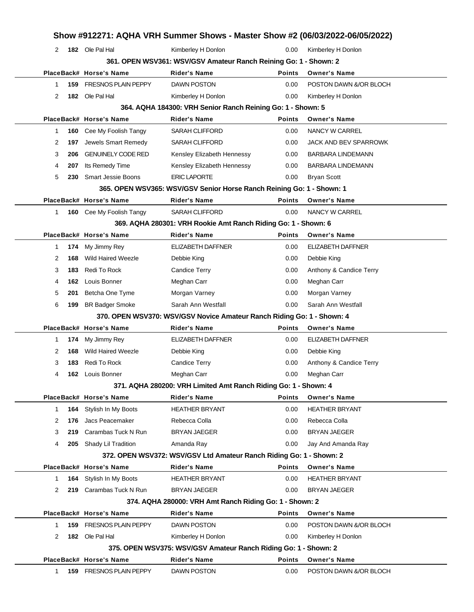|              |     |                            | Show #912271: AQHA VRH Summer Shows - Master Show #2 (06/03/2022-06/05/2022) |               |                          |  |  |  |  |  |
|--------------|-----|----------------------------|------------------------------------------------------------------------------|---------------|--------------------------|--|--|--|--|--|
| 2            |     | 182 Ole Pal Hal            | Kimberley H Donlon                                                           | 0.00          | Kimberley H Donlon       |  |  |  |  |  |
|              |     |                            | 361. OPEN WSV361: WSV/GSV Amateur Ranch Reining Go: 1 - Shown: 2             |               |                          |  |  |  |  |  |
|              |     | PlaceBack# Horse's Name    | <b>Rider's Name</b>                                                          | <b>Points</b> | <b>Owner's Name</b>      |  |  |  |  |  |
| 1.           | 159 | <b>FRESNOS PLAIN PEPPY</b> | <b>DAWN POSTON</b>                                                           | 0.00          | POSTON DAWN &/OR BLOCH   |  |  |  |  |  |
| 2            |     | 182 Ole Pal Hal            | Kimberley H Donlon                                                           | 0.00          | Kimberley H Donlon       |  |  |  |  |  |
|              |     |                            | 364. AQHA 184300: VRH Senior Ranch Reining Go: 1 - Shown: 5                  |               |                          |  |  |  |  |  |
|              |     | PlaceBack# Horse's Name    | <b>Rider's Name</b>                                                          | <b>Points</b> | <b>Owner's Name</b>      |  |  |  |  |  |
| 1.           | 160 | Cee My Foolish Tangy       | <b>SARAH CLIFFORD</b>                                                        | 0.00          | NANCY W CARREL           |  |  |  |  |  |
| 2            | 197 | Jewels Smart Remedy        | <b>SARAH CLIFFORD</b>                                                        | 0.00          | JACK AND BEV SPARROWK    |  |  |  |  |  |
| 3            | 206 | <b>GENUINELY CODE RED</b>  | Kensley Elizabeth Hennessy                                                   | 0.00          | <b>BARBARA LINDEMANN</b> |  |  |  |  |  |
| 4            | 207 | Its Remedy Time            | Kensley Elizabeth Hennessy                                                   | 0.00          | <b>BARBARA LINDEMANN</b> |  |  |  |  |  |
| 5            | 230 | <b>Smart Jessie Boons</b>  | <b>ERIC LAPORTE</b>                                                          | 0.00          | <b>Bryan Scott</b>       |  |  |  |  |  |
|              |     |                            | 365. OPEN WSV365: WSV/GSV Senior Horse Ranch Reining Go: 1 - Shown: 1        |               |                          |  |  |  |  |  |
|              |     | PlaceBack# Horse's Name    | <b>Rider's Name</b>                                                          | <b>Points</b> | <b>Owner's Name</b>      |  |  |  |  |  |
| 1.           |     | 160 Cee My Foolish Tangy   | <b>SARAH CLIFFORD</b>                                                        | 0.00          | <b>NANCY W CARREL</b>    |  |  |  |  |  |
|              |     |                            | 369. AQHA 280301: VRH Rookie Amt Ranch Riding Go: 1 - Shown: 6               |               |                          |  |  |  |  |  |
|              |     | PlaceBack# Horse's Name    | <b>Rider's Name</b>                                                          | <b>Points</b> | <b>Owner's Name</b>      |  |  |  |  |  |
| 1.           | 174 | My Jimmy Rey               | ELIZABETH DAFFNER                                                            | 0.00          | <b>ELIZABETH DAFFNER</b> |  |  |  |  |  |
| 2            | 168 | <b>Wild Haired Weezle</b>  | Debbie King                                                                  | 0.00          | Debbie King              |  |  |  |  |  |
| 3            | 183 | Redi To Rock               | <b>Candice Terry</b>                                                         | 0.00          | Anthony & Candice Terry  |  |  |  |  |  |
| 4            | 162 | Louis Bonner               | Meghan Carr                                                                  | 0.00          | Meghan Carr              |  |  |  |  |  |
| 5            | 201 | Betcha One Tyme            | Morgan Varney                                                                | 0.00          | Morgan Varney            |  |  |  |  |  |
| 6            | 199 | <b>BR Badger Smoke</b>     | Sarah Ann Westfall                                                           | 0.00          | Sarah Ann Westfall       |  |  |  |  |  |
|              |     |                            | 370. OPEN WSV370: WSV/GSV Novice Amateur Ranch Riding Go: 1 - Shown: 4       |               |                          |  |  |  |  |  |
|              |     | PlaceBack# Horse's Name    | <b>Rider's Name</b>                                                          | <b>Points</b> | <b>Owner's Name</b>      |  |  |  |  |  |
| 1.           | 174 | My Jimmy Rey               | <b>ELIZABETH DAFFNER</b>                                                     | 0.00          | <b>ELIZABETH DAFFNER</b> |  |  |  |  |  |
| 2            | 168 | <b>Wild Haired Weezle</b>  | Debbie King                                                                  | 0.00          | Debbie King              |  |  |  |  |  |
| 3            | 183 | Redi To Rock               | Candice Terry                                                                | 0.00          | Anthony & Candice Terry  |  |  |  |  |  |
| 4            |     | 162 Louis Bonner           | Meghan Carr                                                                  | 0.00          | Meghan Carr              |  |  |  |  |  |
|              |     |                            | 371. AQHA 280200: VRH Limited Amt Ranch Riding Go: 1 - Shown: 4              |               |                          |  |  |  |  |  |
|              |     | PlaceBack# Horse's Name    | Rider's Name                                                                 | <b>Points</b> | <b>Owner's Name</b>      |  |  |  |  |  |
| $\mathbf{1}$ | 164 | Stylish In My Boots        | <b>HEATHER BRYANT</b>                                                        | 0.00          | <b>HEATHER BRYANT</b>    |  |  |  |  |  |
| 2            | 176 | Jacs Peacemaker            | Rebecca Colla                                                                | 0.00          | Rebecca Colla            |  |  |  |  |  |
| 3            | 219 | Carambas Tuck N Run        | <b>BRYAN JAEGER</b>                                                          | 0.00          | <b>BRYAN JAEGER</b>      |  |  |  |  |  |
| 4            |     | 205 Shady Lil Tradition    | Amanda Ray                                                                   | 0.00          | Jay And Amanda Ray       |  |  |  |  |  |
|              |     |                            | 372. OPEN WSV372: WSV/GSV Ltd Amateur Ranch Riding Go: 1 - Shown: 2          |               |                          |  |  |  |  |  |
|              |     | PlaceBack# Horse's Name    | Rider's Name                                                                 | <b>Points</b> | <b>Owner's Name</b>      |  |  |  |  |  |
| 1.           | 164 | Stylish In My Boots        | <b>HEATHER BRYANT</b>                                                        | 0.00          | <b>HEATHER BRYANT</b>    |  |  |  |  |  |
| 2            |     | 219 Carambas Tuck N Run    | <b>BRYAN JAEGER</b>                                                          | 0.00          | BRYAN JAEGER             |  |  |  |  |  |
|              |     |                            | 374. AQHA 280000: VRH Amt Ranch Riding Go: 1 - Shown: 2                      |               |                          |  |  |  |  |  |
|              |     | PlaceBack# Horse's Name    | <b>Rider's Name</b>                                                          | <b>Points</b> | <b>Owner's Name</b>      |  |  |  |  |  |
| 1            | 159 | <b>FRESNOS PLAIN PEPPY</b> | DAWN POSTON                                                                  | 0.00          | POSTON DAWN &/OR BLOCH   |  |  |  |  |  |
|              |     |                            | Kimberley H Donlon                                                           | 0.00          | Kimberley H Donlon       |  |  |  |  |  |
| 2            |     | 182 Ole Pal Hal            | 375. OPEN WSV375: WSV/GSV Amateur Ranch Riding Go: 1 - Shown: 2              |               |                          |  |  |  |  |  |
|              |     |                            |                                                                              |               |                          |  |  |  |  |  |
|              |     | PlaceBack# Horse's Name    | Rider's Name                                                                 | <b>Points</b> | <b>Owner's Name</b>      |  |  |  |  |  |